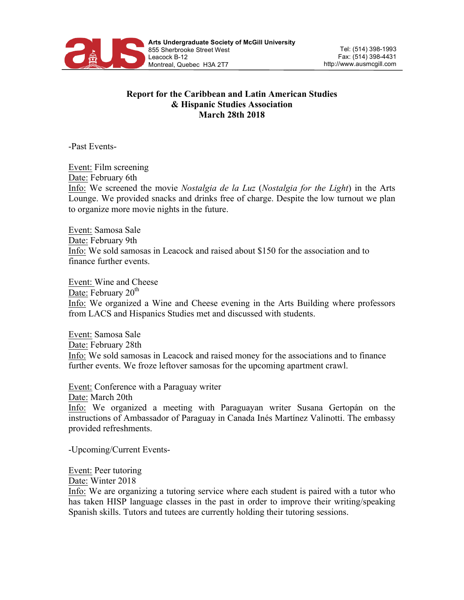

## **Report for the Caribbean and Latin American Studies & Hispanic Studies Association March 28th 2018**

-Past Events-

Event: Film screening Date: February 6th Info: We screened the movie *Nostalgia de la Luz* (*Nostalgia for the Light*) in the Arts Lounge. We provided snacks and drinks free of charge. Despite the low turnout we plan to organize more movie nights in the future.

Event: Samosa Sale Date: February 9th Info: We sold samosas in Leacock and raised about \$150 for the association and to finance further events.

Event: Wine and Cheese Date: February  $20<sup>th</sup>$ Info: We organized a Wine and Cheese evening in the Arts Building where professors from LACS and Hispanics Studies met and discussed with students.

Event: Samosa Sale Date: February 28th Info: We sold samosas in Leacock and raised money for the associations and to finance further events. We froze leftover samosas for the upcoming apartment crawl.

Event: Conference with a Paraguay writer Date: March 20th Info: We organized a meeting with Paraguayan writer Susana Gertopán on the instructions of Ambassador of Paraguay in Canada Inés Martínez Valinotti. The embassy provided refreshments.

-Upcoming/Current Events-

Event: Peer tutoring

Date: Winter 2018

Info: We are organizing a tutoring service where each student is paired with a tutor who has taken HISP language classes in the past in order to improve their writing/speaking Spanish skills. Tutors and tutees are currently holding their tutoring sessions.